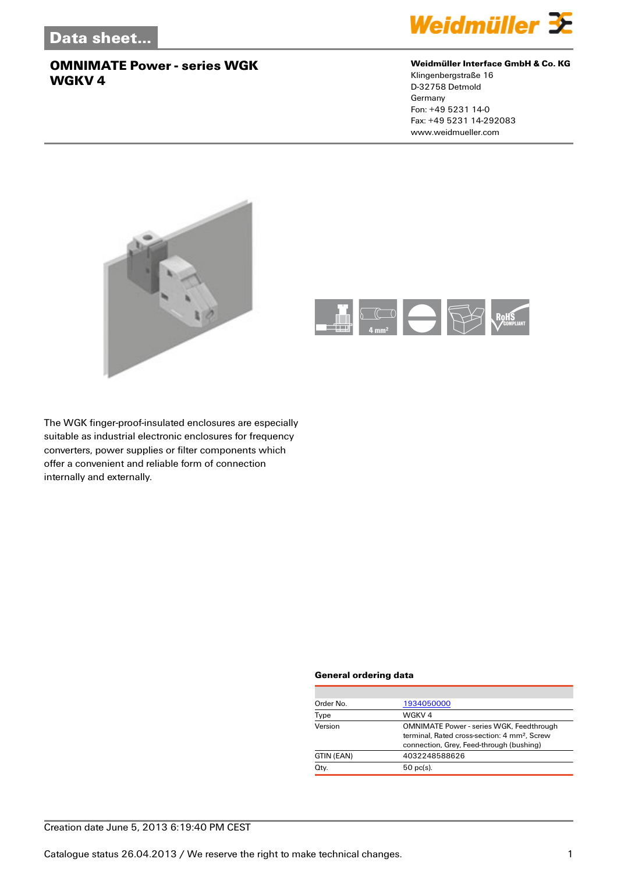

#### **Weidmüller Interface GmbH & Co. KG**

Klingenbergstraße 16 D-32758 Detmold Germany Fon: +49 5231 14-0 Fax: +49 5231 14-292083 www.weidmueller.com





The WGK finger-proof-insulated enclosures are especially suitable as industrial electronic enclosures for frequency converters, power supplies or filter components which offer a convenient and reliable form of connection internally and externally.

#### **General ordering data**

| Order No.  | 1934050000                                                                                                                                              |
|------------|---------------------------------------------------------------------------------------------------------------------------------------------------------|
| Type       | WGKV <sub>4</sub>                                                                                                                                       |
| Version    | <b>OMNIMATE Power - series WGK, Feedthrough</b><br>terminal. Rated cross-section: 4 mm <sup>2</sup> . Screw<br>connection, Grey, Feed-through (bushing) |
| GTIN (EAN) | 4032248588626                                                                                                                                           |
| Qty.       | $50$ pc(s).                                                                                                                                             |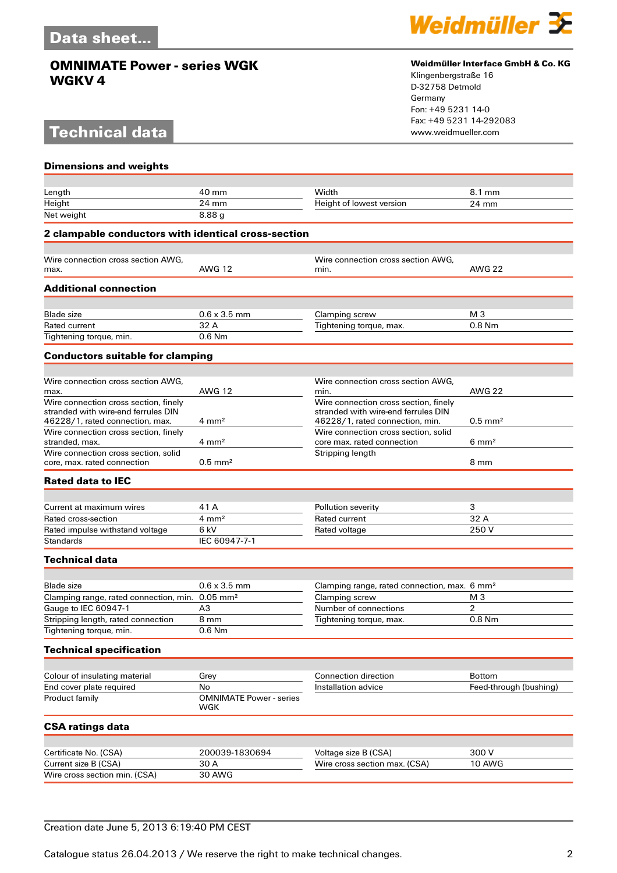## **Technical data**



#### **Weidmüller Interface GmbH & Co. KG**

Klingenbergstraße 16 D-32758 Detmold Germany Fon: +49 5231 14-0 Fax: +49 5231 14-292083

| <b>Dimensions and weights</b>                                          |                                       |                                                                        |                        |
|------------------------------------------------------------------------|---------------------------------------|------------------------------------------------------------------------|------------------------|
|                                                                        |                                       |                                                                        |                        |
| Length                                                                 | 40 mm                                 | Width                                                                  | 8.1 mm                 |
| Height<br>Net weight                                                   | 24 mm<br>8.88g                        | Height of lowest version                                               | 24 mm                  |
| 2 clampable conductors with identical cross-section                    |                                       |                                                                        |                        |
|                                                                        |                                       |                                                                        |                        |
| Wire connection cross section AWG,                                     |                                       | Wire connection cross section AWG,                                     |                        |
| max.                                                                   | <b>AWG 12</b>                         | min.                                                                   | <b>AWG 22</b>          |
| <b>Additional connection</b>                                           |                                       |                                                                        |                        |
|                                                                        |                                       |                                                                        |                        |
| <b>Blade</b> size                                                      | $0.6 \times 3.5$ mm<br>32 A           | Clamping screw                                                         | M 3<br>$0.8$ Nm        |
| Rated current<br>Tightening torque, min.                               | $0.6$ Nm                              | Tightening torque, max.                                                |                        |
|                                                                        |                                       |                                                                        |                        |
| <b>Conductors suitable for clamping</b>                                |                                       |                                                                        |                        |
| Wire connection cross section AWG.                                     |                                       | Wire connection cross section AWG,                                     |                        |
| max.                                                                   | <b>AWG 12</b>                         | min.                                                                   | <b>AWG 22</b>          |
| Wire connection cross section, finely                                  |                                       | Wire connection cross section, finely                                  |                        |
| stranded with wire-end ferrules DIN<br>46228/1, rated connection, max. | $4 \text{ mm}^2$                      | stranded with wire-end ferrules DIN<br>46228/1, rated connection, min. | $0.5$ mm <sup>2</sup>  |
| Wire connection cross section, finely                                  |                                       | Wire connection cross section, solid                                   |                        |
| stranded, max.                                                         | $4 \text{ mm}^2$                      | core max. rated connection                                             | $6 \text{ mm}^2$       |
| Wire connection cross section, solid<br>core, max. rated connection    | $0.5$ mm <sup>2</sup>                 | Stripping length                                                       | 8 mm                   |
| <b>Rated data to IEC</b>                                               |                                       |                                                                        |                        |
|                                                                        |                                       |                                                                        |                        |
| Current at maximum wires                                               | 41 A                                  | Pollution severity                                                     | 3                      |
| Rated cross-section                                                    | $4 \text{ mm}^2$                      | Rated current                                                          | 32 A                   |
| Rated impulse withstand voltage                                        | 6 kV                                  | Rated voltage                                                          | 250V                   |
| <b>Standards</b>                                                       | IEC 60947-7-1                         |                                                                        |                        |
| <b>Technical data</b>                                                  |                                       |                                                                        |                        |
| <b>Blade size</b>                                                      | $0.6 \times 3.5$ mm                   | Clamping range, rated connection, max. 6 mm <sup>2</sup>               |                        |
| Clamping range, rated connection, min.                                 | $0.05$ mm <sup>2</sup>                | Clamping screw                                                         | M <sub>3</sub>         |
| Gauge to IEC 60947-1                                                   | A3                                    | Number of connections                                                  | $\overline{2}$         |
| Stripping length, rated connection                                     | 8 mm                                  | Tightening torque, max.                                                | 0.8 Nm                 |
| Tightening torque, min.                                                | 0.6 Nm                                |                                                                        |                        |
| <b>Technical specification</b>                                         |                                       |                                                                        |                        |
|                                                                        |                                       |                                                                        |                        |
| Colour of insulating material                                          | Grey                                  | Connection direction                                                   | <b>Bottom</b>          |
| End cover plate required                                               | No                                    | Installation advice                                                    | Feed-through (bushing) |
| Product family                                                         | <b>OMNIMATE Power - series</b><br>WGK |                                                                        |                        |
| <b>CSA ratings data</b>                                                |                                       |                                                                        |                        |
|                                                                        |                                       |                                                                        |                        |
| Certificate No. (CSA)                                                  | 200039-1830694                        | Voltage size B (CSA)                                                   | 300 V                  |
| Current size B (CSA)<br>Wire cross section min. (CSA)                  | 30 A<br>30 AWG                        | Wire cross section max. (CSA)                                          | 10 AWG                 |
|                                                                        |                                       |                                                                        |                        |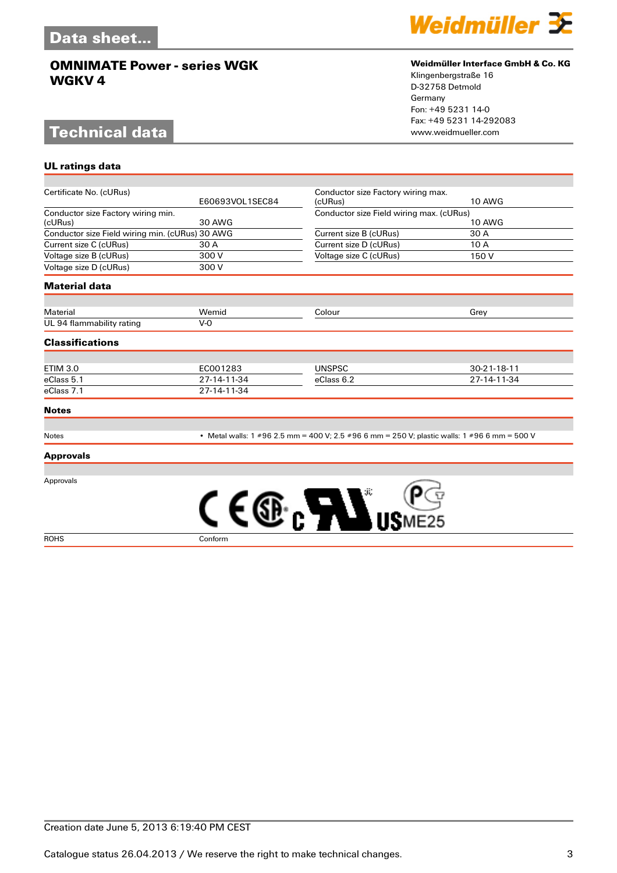# **Technical data**

**UL ratings data**



#### **Weidmüller Interface GmbH & Co. KG**

Klingenbergstraße 16 D-32758 Detmold Germany Fon: +49 5231 14-0 Fax: +49 5231 14-292083

| Certificate No. (cURus)                         | E60693VOL1SEC84 | Conductor size Factory wiring max.<br>(cURus)                                                | <b>10 AWG</b> |
|-------------------------------------------------|-----------------|----------------------------------------------------------------------------------------------|---------------|
| Conductor size Factory wiring min.              |                 |                                                                                              |               |
| (cURus)                                         | <b>30 AWG</b>   | Conductor size Field wiring max. (cURus)<br><b>10 AWG</b>                                    |               |
| Conductor size Field wiring min. (cURus) 30 AWG |                 | Current size B (cURus)                                                                       | 30 A          |
| Current size C (cURus)                          | 30 A            | Current size D (cURus)                                                                       | 10 A          |
| Voltage size B (cURus)                          | 300 V           | Voltage size C (cURus)                                                                       | 150 V         |
| Voltage size D (cURus)                          | 300 V           |                                                                                              |               |
| <b>Material data</b>                            |                 |                                                                                              |               |
| <b>Material</b>                                 | Wemid           | Colour                                                                                       | Grey          |
| UL 94 flammability rating                       | $V-0$           |                                                                                              |               |
|                                                 |                 |                                                                                              |               |
| <b>Classifications</b>                          |                 |                                                                                              |               |
|                                                 |                 |                                                                                              |               |
| <b>ETIM 3.0</b>                                 | EC001283        | <b>UNSPSC</b>                                                                                | 30-21-18-11   |
| eClass 5.1                                      | 27-14-11-34     | eClass 6.2                                                                                   | 27-14-11-34   |
| eClass 7.1                                      | 27-14-11-34     |                                                                                              |               |
| <b>Notes</b>                                    |                 |                                                                                              |               |
| Notes                                           |                 | • Metal walls: 1 #96 2.5 mm = 400 V; 2.5 #96 6 mm = 250 V; plastic walls: 1 #96 6 mm = 500 V |               |
| <b>Approvals</b>                                |                 |                                                                                              |               |
| Approvals                                       |                 |                                                                                              |               |
|                                                 |                 | <b>ALL</b>                                                                                   |               |
| <b>ROHS</b>                                     | Conform         |                                                                                              |               |

Creation date June 5, 2013 6:19:40 PM CEST